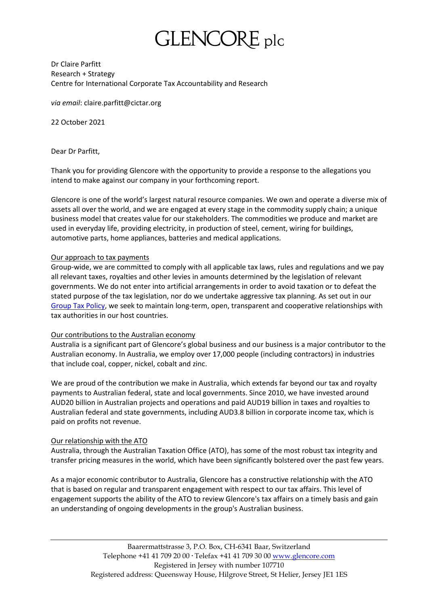# GLENCORE plc

Dr Claire Parfitt Research + Strategy Centre for International Corporate Tax Accountability and Research

*via email*: claire.parfitt@cictar.org

22 October 2021

Dear Dr Parfitt,

Thank you for providing Glencore with the opportunity to provide a response to the allegations you intend to make against our company in your forthcoming report.

Glencore is one of the world's largest natural resource companies. We own and operate a diverse mix of assets all over the world, and we are engaged at every stage in the commodity supply chain; a unique business model that creates value for our stakeholders. The commodities we produce and market are used in everyday life, providing electricity, in production of steel, cement, wiring for buildings, automotive parts, home appliances, batteries and medical applications.

### Our approach to tax payments

Group-wide, we are committed to comply with all applicable tax laws, rules and regulations and we pay all relevant taxes, royalties and other levies in amounts determined by the legislation of relevant governments. We do not enter into artificial arrangements in order to avoid taxation or to defeat the stated purpose of the tax legislation, nor do we undertake aggressive tax planning. As set out in our [Group Tax Policy,](https://www.glencore.com/who-we-are/policies/tax-policy) we seek to maintain long-term, open, transparent and cooperative relationships with tax authorities in our host countries.

#### Our contributions to the Australian economy

Australia is a significant part of Glencore's global business and our business is a major contributor to the Australian economy. In Australia, we employ over 17,000 people (including contractors) in industries that include coal, copper, nickel, cobalt and zinc.

We are proud of the contribution we make in Australia, which extends far beyond our tax and royalty payments to Australian federal, state and local governments. Since 2010, we have invested around AUD20 billion in Australian projects and operations and paid AUD19 billion in taxes and royalties to Australian federal and state governments, including AUD3.8 billion in corporate income tax, which is paid on profits not revenue.

# Our relationship with the ATO

Australia, through the Australian Taxation Office (ATO), has some of the most robust tax integrity and transfer pricing measures in the world, which have been significantly bolstered over the past few years.

As a major economic contributor to Australia, Glencore has a constructive relationship with the ATO that is based on regular and transparent engagement with respect to our tax affairs. This level of engagement supports the ability of the ATO to review Glencore's tax affairs on a timely basis and gain an understanding of ongoing developments in the group's Australian business.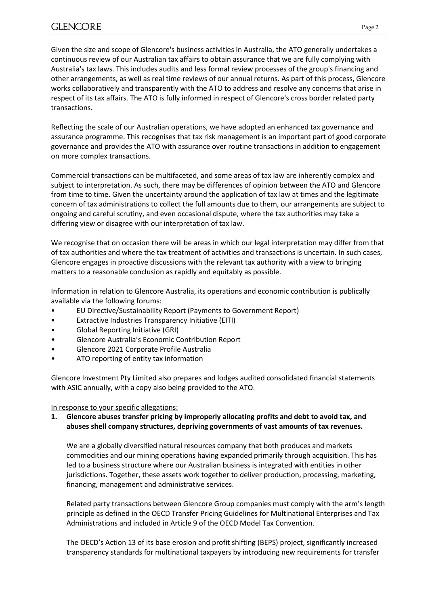Given the size and scope of Glencore's business activities in Australia, the ATO generally undertakes a continuous review of our Australian tax affairs to obtain assurance that we are fully complying with Australia's tax laws. This includes audits and less formal review processes of the group's financing and other arrangements, as well as real time reviews of our annual returns. As part of this process, Glencore works collaboratively and transparently with the ATO to address and resolve any concerns that arise in respect of its tax affairs. The ATO is fully informed in respect of Glencore's cross border related party transactions.

Reflecting the scale of our Australian operations, we have adopted an enhanced tax governance and assurance programme. This recognises that tax risk management is an important part of good corporate governance and provides the ATO with assurance over routine transactions in addition to engagement on more complex transactions.

Commercial transactions can be multifaceted, and some areas of tax law are inherently complex and subject to interpretation. As such, there may be differences of opinion between the ATO and Glencore from time to time. Given the uncertainty around the application of tax law at times and the legitimate concern of tax administrations to collect the full amounts due to them, our arrangements are subject to ongoing and careful scrutiny, and even occasional dispute, where the tax authorities may take a differing view or disagree with our interpretation of tax law.

We recognise that on occasion there will be areas in which our legal interpretation may differ from that of tax authorities and where the tax treatment of activities and transactions is uncertain. In such cases, Glencore engages in proactive discussions with the relevant tax authority with a view to bringing matters to a reasonable conclusion as rapidly and equitably as possible.

Information in relation to Glencore Australia, its operations and economic contribution is publically available via the following forums:

- EU Directive/Sustainability Report (Payments to Government Report)
- Extractive Industries Transparency Initiative (EITI)
- Global Reporting Initiative (GRI)
- Glencore Australia's Economic Contribution Report
- Glencore 2021 Corporate Profile Australia
- ATO reporting of entity tax information

Glencore Investment Pty Limited also prepares and lodges audited consolidated financial statements with ASIC annually, with a copy also being provided to the ATO.

# In response to your specific allegations:

# **1. Glencore abuses transfer pricing by improperly allocating profits and debt to avoid tax, and abuses shell company structures, depriving governments of vast amounts of tax revenues.**

We are a globally diversified natural resources company that both produces and markets commodities and our mining operations having expanded primarily through acquisition. This has led to a business structure where our Australian business is integrated with entities in other jurisdictions. Together, these assets work together to deliver production, processing, marketing, financing, management and administrative services.

Related party transactions between Glencore Group companies must comply with the arm's length principle as defined in the OECD Transfer Pricing Guidelines for Multinational Enterprises and Tax Administrations and included in Article 9 of the OECD Model Tax Convention.

The OECD's Action 13 of its base erosion and profit shifting (BEPS) project, significantly increased transparency standards for multinational taxpayers by introducing new requirements for transfer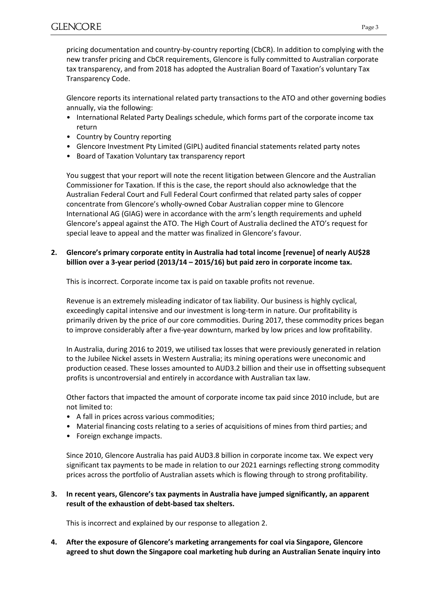pricing documentation and country-by-country reporting (CbCR). In addition to complying with the new transfer pricing and CbCR requirements, Glencore is fully committed to Australian corporate tax transparency, and from 2018 has adopted the Australian Board of Taxation's voluntary Tax Transparency Code.

Glencore reports its international related party transactions to the ATO and other governing bodies annually, via the following:

- International Related Party Dealings schedule, which forms part of the corporate income tax return
- Country by Country reporting
- Glencore Investment Pty Limited (GIPL) audited financial statements related party notes
- Board of Taxation Voluntary tax transparency report

You suggest that your report will note the recent litigation between Glencore and the Australian Commissioner for Taxation. If this is the case, the report should also acknowledge that the Australian Federal Court and Full Federal Court confirmed that related party sales of copper concentrate from Glencore's wholly-owned Cobar Australian copper mine to Glencore International AG (GIAG) were in accordance with the arm's length requirements and upheld Glencore's appeal against the ATO. The High Court of Australia declined the ATO's request for special leave to appeal and the matter was finalized in Glencore's favour.

**2. Glencore's primary corporate entity in Australia had total income [revenue] of nearly AU\$28 billion over a 3-year period (2013/14 – 2015/16) but paid zero in corporate income tax.**

This is incorrect. Corporate income tax is paid on taxable profits not revenue.

Revenue is an extremely misleading indicator of tax liability. Our business is highly cyclical, exceedingly capital intensive and our investment is long-term in nature. Our profitability is primarily driven by the price of our core commodities. During 2017, these commodity prices began to improve considerably after a five-year downturn, marked by low prices and low profitability.

In Australia, during 2016 to 2019, we utilised tax losses that were previously generated in relation to the Jubilee Nickel assets in Western Australia; its mining operations were uneconomic and production ceased. These losses amounted to AUD3.2 billion and their use in offsetting subsequent profits is uncontroversial and entirely in accordance with Australian tax law.

Other factors that impacted the amount of corporate income tax paid since 2010 include, but are not limited to:

- A fall in prices across various commodities;
- Material financing costs relating to a series of acquisitions of mines from third parties; and
- Foreign exchange impacts.

Since 2010, Glencore Australia has paid AUD3.8 billion in corporate income tax. We expect very significant tax payments to be made in relation to our 2021 earnings reflecting strong commodity prices across the portfolio of Australian assets which is flowing through to strong profitability.

### **3. In recent years, Glencore's tax payments in Australia have jumped significantly, an apparent result of the exhaustion of debt-based tax shelters.**

This is incorrect and explained by our response to allegation 2.

**4. After the exposure of Glencore's marketing arrangements for coal via Singapore, Glencore agreed to shut down the Singapore coal marketing hub during an Australian Senate inquiry into**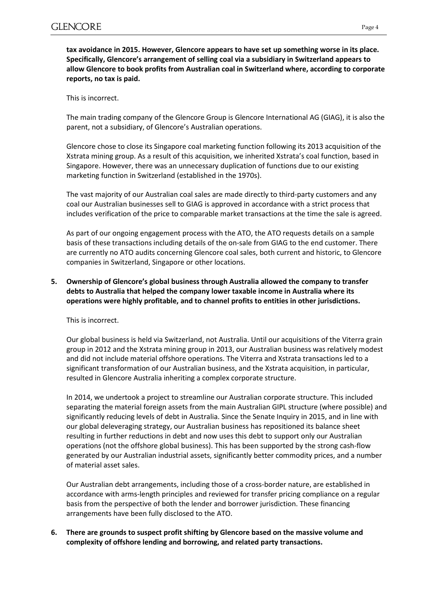**tax avoidance in 2015. However, Glencore appears to have set up something worse in its place. Specifically, Glencore's arrangement of selling coal via a subsidiary in Switzerland appears to allow Glencore to book profits from Australian coal in Switzerland where, according to corporate reports, no tax is paid.**

This is incorrect.

The main trading company of the Glencore Group is Glencore International AG (GIAG), it is also the parent, not a subsidiary, of Glencore's Australian operations.

Glencore chose to close its Singapore coal marketing function following its 2013 acquisition of the Xstrata mining group. As a result of this acquisition, we inherited Xstrata's coal function, based in Singapore. However, there was an unnecessary duplication of functions due to our existing marketing function in Switzerland (established in the 1970s).

The vast majority of our Australian coal sales are made directly to third-party customers and any coal our Australian businesses sell to GIAG is approved in accordance with a strict process that includes verification of the price to comparable market transactions at the time the sale is agreed.

As part of our ongoing engagement process with the ATO, the ATO requests details on a sample basis of these transactions including details of the on-sale from GIAG to the end customer. There are currently no ATO audits concerning Glencore coal sales, both current and historic, to Glencore companies in Switzerland, Singapore or other locations.

# **5. Ownership of Glencore's global business through Australia allowed the company to transfer debts to Australia that helped the company lower taxable income in Australia where its operations were highly profitable, and to channel profits to entities in other jurisdictions.**

This is incorrect.

Our global business is held via Switzerland, not Australia. Until our acquisitions of the Viterra grain group in 2012 and the Xstrata mining group in 2013, our Australian business was relatively modest and did not include material offshore operations. The Viterra and Xstrata transactions led to a significant transformation of our Australian business, and the Xstrata acquisition, in particular, resulted in Glencore Australia inheriting a complex corporate structure.

In 2014, we undertook a project to streamline our Australian corporate structure. This included separating the material foreign assets from the main Australian GIPL structure (where possible) and significantly reducing levels of debt in Australia. Since the Senate Inquiry in 2015, and in line with our global deleveraging strategy, our Australian business has repositioned its balance sheet resulting in further reductions in debt and now uses this debt to support only our Australian operations (not the offshore global business). This has been supported by the strong cash-flow generated by our Australian industrial assets, significantly better commodity prices, and a number of material asset sales.

Our Australian debt arrangements, including those of a cross-border nature, are established in accordance with arms-length principles and reviewed for transfer pricing compliance on a regular basis from the perspective of both the lender and borrower jurisdiction. These financing arrangements have been fully disclosed to the ATO.

**6. There are grounds to suspect profit shifting by Glencore based on the massive volume and complexity of offshore lending and borrowing, and related party transactions.**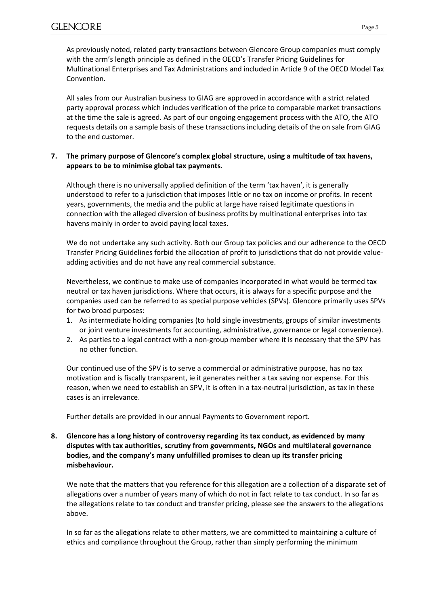As previously noted, related party transactions between Glencore Group companies must comply with the arm's length principle as defined in the OECD's Transfer Pricing Guidelines for Multinational Enterprises and Tax Administrations and included in Article 9 of the OECD Model Tax Convention.

All sales from our Australian business to GIAG are approved in accordance with a strict related party approval process which includes verification of the price to comparable market transactions at the time the sale is agreed. As part of our ongoing engagement process with the ATO, the ATO requests details on a sample basis of these transactions including details of the on sale from GIAG to the end customer.

# **7. The primary purpose of Glencore's complex global structure, using a multitude of tax havens, appears to be to minimise global tax payments.**

Although there is no universally applied definition of the term 'tax haven', it is generally understood to refer to a jurisdiction that imposes little or no tax on income or profits. In recent years, governments, the media and the public at large have raised legitimate questions in connection with the alleged diversion of business profits by multinational enterprises into tax havens mainly in order to avoid paying local taxes.

We do not undertake any such activity. Both our Group tax policies and our adherence to the OECD Transfer Pricing Guidelines forbid the allocation of profit to jurisdictions that do not provide valueadding activities and do not have any real commercial substance.

Nevertheless, we continue to make use of companies incorporated in what would be termed tax neutral or tax haven jurisdictions. Where that occurs, it is always for a specific purpose and the companies used can be referred to as special purpose vehicles (SPVs). Glencore primarily uses SPVs for two broad purposes:

- 1. As intermediate holding companies (to hold single investments, groups of similar investments or joint venture investments for accounting, administrative, governance or legal convenience).
- 2. As parties to a legal contract with a non-group member where it is necessary that the SPV has no other function.

Our continued use of the SPV is to serve a commercial or administrative purpose, has no tax motivation and is fiscally transparent, ie it generates neither a tax saving nor expense. For this reason, when we need to establish an SPV, it is often in a tax-neutral jurisdiction, as tax in these cases is an irrelevance.

Further details are provided in our annual Payments to Government report.

**8. Glencore has a long history of controversy regarding its tax conduct, as evidenced by many disputes with tax authorities, scrutiny from governments, NGOs and multilateral governance bodies, and the company's many unfulfilled promises to clean up its transfer pricing misbehaviour.**

We note that the matters that you reference for this allegation are a collection of a disparate set of allegations over a number of years many of which do not in fact relate to tax conduct. In so far as the allegations relate to tax conduct and transfer pricing, please see the answers to the allegations above.

In so far as the allegations relate to other matters, we are committed to maintaining a culture of ethics and compliance throughout the Group, rather than simply performing the minimum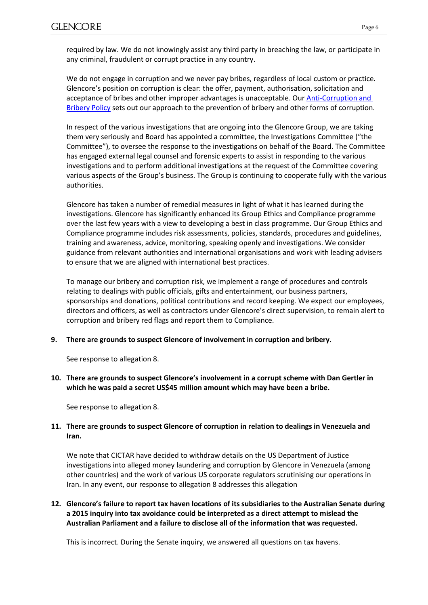required by law. We do not knowingly assist any third party in breaching the law, or participate in any criminal, fraudulent or corrupt practice in any country.

We do not engage in corruption and we never pay bribes, regardless of local custom or practice. Glencore's position on corruption is clear: the offer, payment, authorisation, solicitation and acceptance of bribes and other improper advantages is unacceptable. Ou[r Anti-Corruption and](https://www.glencore.com/who-we-are/policies/anti-corruption-and-bribery-policy)  [Bribery Policy](https://www.glencore.com/who-we-are/policies/anti-corruption-and-bribery-policy) sets out our approach to the prevention of bribery and other forms of corruption.

In respect of the various investigations that are ongoing into the Glencore Group, we are taking them very seriously and Board has appointed a committee, the Investigations Committee ("the Committee"), to oversee the response to the investigations on behalf of the Board. The Committee has engaged external legal counsel and forensic experts to assist in responding to the various investigations and to perform additional investigations at the request of the Committee covering various aspects of the Group's business. The Group is continuing to cooperate fully with the various authorities.

Glencore has taken a number of remedial measures in light of what it has learned during the investigations. Glencore has significantly enhanced its Group Ethics and Compliance programme over the last few years with a view to developing a best in class programme. Our Group Ethics and Compliance programme includes risk assessments, policies, standards, procedures and guidelines, training and awareness, advice, monitoring, speaking openly and investigations. We consider guidance from relevant authorities and international organisations and work with leading advisers to ensure that we are aligned with international best practices.

To manage our bribery and corruption risk, we implement a range of procedures and controls relating to dealings with public officials, gifts and entertainment, our business partners, sponsorships and donations, political contributions and record keeping. We expect our employees, directors and officers, as well as contractors under Glencore's direct supervision, to remain alert to corruption and bribery red flags and report them to Compliance.

#### **9. There are grounds to suspect Glencore of involvement in corruption and bribery.**

See response to allegation 8.

**10. There are grounds to suspect Glencore's involvement in a corrupt scheme with Dan Gertler in which he was paid a secret US\$45 million amount which may have been a bribe.**

See response to allegation 8.

# **11. There are grounds to suspect Glencore of corruption in relation to dealings in Venezuela and Iran.**

We note that CICTAR have decided to withdraw details on the US Department of Justice investigations into alleged money laundering and corruption by Glencore in Venezuela (among other countries) and the work of various US corporate regulators scrutinising our operations in Iran. In any event, our response to allegation 8 addresses this allegation

**12. Glencore's failure to report tax haven locations of its subsidiaries to the Australian Senate during a 2015 inquiry into tax avoidance could be interpreted as a direct attempt to mislead the Australian Parliament and a failure to disclose all of the information that was requested.**

This is incorrect. During the Senate inquiry, we answered all questions on tax havens.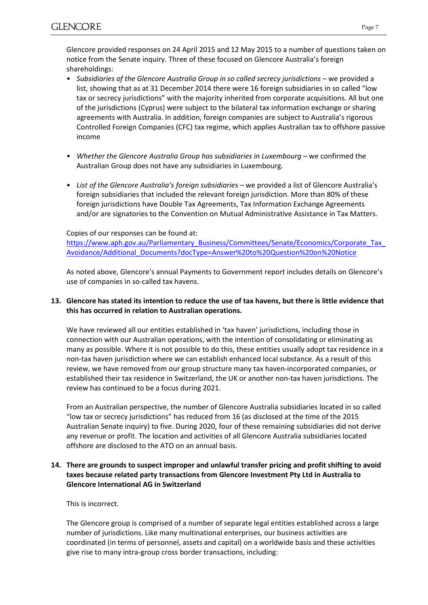Glencore provided responses on 24 April 2015 and 12 May 2015 to a number of questions taken on notice from the Senate inquiry. Three of these focused on Glencore Australia's foreign shareholdings:

- *Subsidiaries of the Glencore Australia Group in so called secrecy jurisdictions* we provided a list, showing that as at 31 December 2014 there were 16 foreign subsidiaries in so called "low tax or secrecy jurisdictions" with the majority inherited from corporate acquisitions. All but one of the jurisdictions (Cyprus) were subject to the bilateral tax information exchange or sharing agreements with Australia. In addition, foreign companies are subject to Australia's rigorous Controlled Foreign Companies (CFC) tax regime, which applies Australian tax to offshore passive income
- *Whether the Glencore Australia Group has subsidiaries in Luxembourg* we confirmed the Australian Group does not have any subsidiaries in Luxembourg.
- *List of the Glencore Australia's foreign subsidiaries* we provided a list of Glencore Australia's foreign subsidiaries that included the relevant foreign jurisdiction. More than 80% of these foreign jurisdictions have Double Tax Agreements, Tax Information Exchange Agreements and/or are signatories to the Convention on Mutual Administrative Assistance in Tax Matters.

### Copies of our responses can be found at:

https://www.aph.gov.au/Parliamentary\_Business/Committees/Senate/Economics/Corporate\_Tax [Avoidance/Additional\\_Documents?docType=Answer%20to%20Question%20on%20Notice](https://www.aph.gov.au/Parliamentary_Business/Committees/Senate/Economics/Corporate_Tax_Avoidance/Additional_Documents?docType=Answer%20to%20Question%20on%20Notice)

As noted above, Glencore's annual Payments to Government report includes details on Glencore's use of companies in so-called tax havens.

# **13. Glencore has stated its intention to reduce the use of tax havens, but there is little evidence that this has occurred in relation to Australian operations.**

We have reviewed all our entities established in 'tax haven' jurisdictions, including those in connection with our Australian operations, with the intention of consolidating or eliminating as many as possible. Where it is not possible to do this, these entities usually adopt tax residence in a non-tax haven jurisdiction where we can establish enhanced local substance. As a result of this review, we have removed from our group structure many tax haven-incorporated companies, or established their tax residence in Switzerland, the UK or another non-tax haven jurisdictions. The review has continued to be a focus during 2021.

From an Australian perspective, the number of Glencore Australia subsidiaries located in so called "low tax or secrecy jurisdictions" has reduced from 16 (as disclosed at the time of the 2015 Australian Senate inquiry) to five. During 2020, four of these remaining subsidiaries did not derive any revenue or profit. The location and activities of all Glencore Australia subsidiaries located offshore are disclosed to the ATO on an annual basis.

# **14. There are grounds to suspect improper and unlawful transfer pricing and profit shifting to avoid taxes because related party transactions from Glencore Investment Pty Ltd in Australia to Glencore International AG in Switzerland**

This is incorrect.

The Glencore group is comprised of a number of separate legal entities established across a large number of jurisdictions. Like many multinational enterprises, our business activities are coordinated (in terms of personnel, assets and capital) on a worldwide basis and these activities give rise to many intra-group cross border transactions, including: